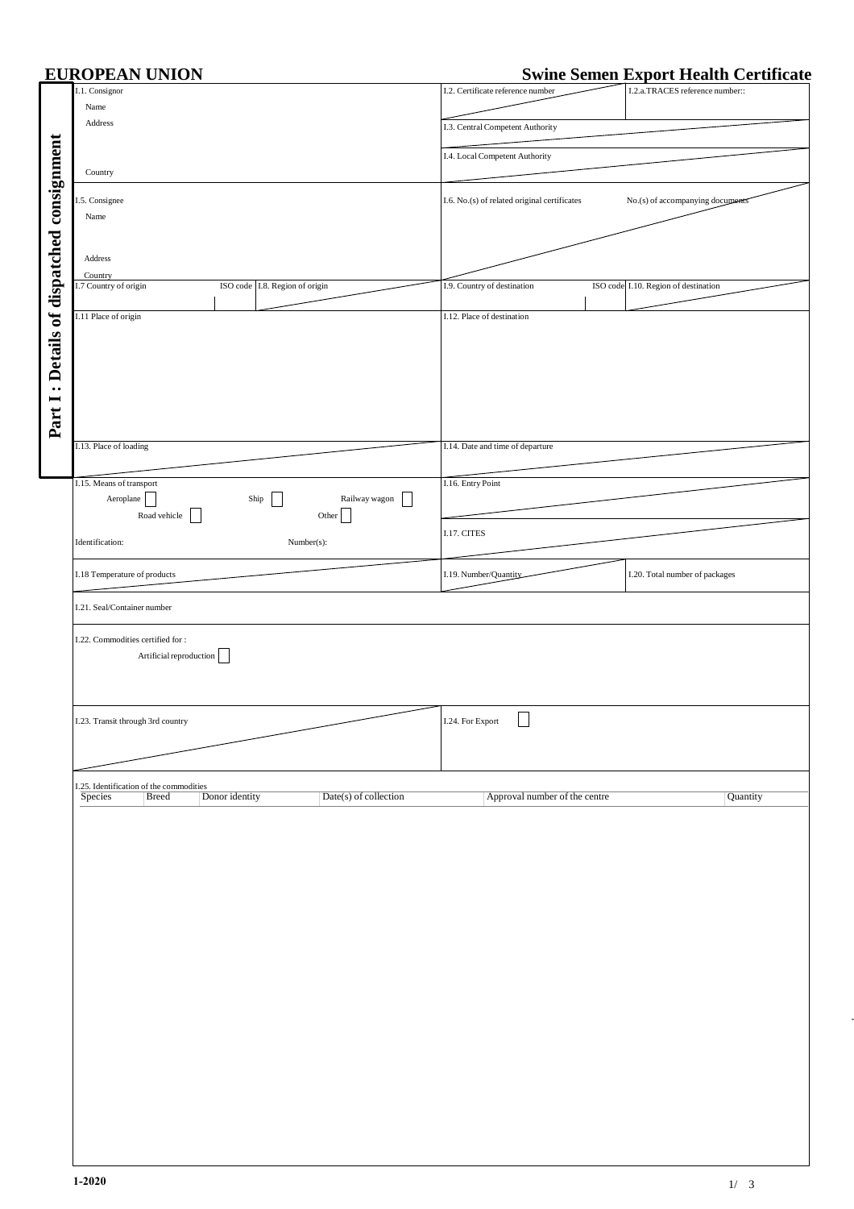|                                           | <b>EUROPEAN UNION</b>                                                                       |                                  |                                   |                                              |  | <b>Swine Semen Export Health Certificate</b> |          |
|-------------------------------------------|---------------------------------------------------------------------------------------------|----------------------------------|-----------------------------------|----------------------------------------------|--|----------------------------------------------|----------|
|                                           | I.1. Consignor                                                                              |                                  | I.2. Certificate reference number |                                              |  | I.2.a.TRACES reference number::              |          |
|                                           | Name                                                                                        |                                  |                                   |                                              |  |                                              |          |
|                                           | Address                                                                                     |                                  | I.3. Central Competent Authority  |                                              |  |                                              |          |
|                                           |                                                                                             |                                  |                                   |                                              |  |                                              |          |
|                                           |                                                                                             |                                  | I.4. Local Competent Authority    |                                              |  |                                              |          |
| Part I: Details of dispatched consignment | Country                                                                                     |                                  |                                   |                                              |  |                                              |          |
|                                           |                                                                                             |                                  |                                   |                                              |  |                                              |          |
|                                           | I.5. Consignee                                                                              |                                  |                                   | I.6. No.(s) of related original certificates |  | No.(s) of accompanying documents             |          |
|                                           | Name                                                                                        |                                  |                                   |                                              |  |                                              |          |
|                                           |                                                                                             |                                  |                                   |                                              |  |                                              |          |
|                                           |                                                                                             |                                  |                                   |                                              |  |                                              |          |
|                                           | Address                                                                                     |                                  |                                   |                                              |  |                                              |          |
|                                           | Country                                                                                     |                                  |                                   |                                              |  |                                              |          |
|                                           | I.7 Country of origin<br>ISO code I.8. Region of origin                                     |                                  | I.9. Country of destination       |                                              |  | ISO code I.10. Region of destination         |          |
|                                           |                                                                                             |                                  |                                   |                                              |  |                                              |          |
|                                           | I.11 Place of origin                                                                        |                                  | I.12. Place of destination        |                                              |  |                                              |          |
|                                           |                                                                                             |                                  |                                   |                                              |  |                                              |          |
|                                           |                                                                                             |                                  |                                   |                                              |  |                                              |          |
|                                           |                                                                                             |                                  |                                   |                                              |  |                                              |          |
|                                           |                                                                                             |                                  |                                   |                                              |  |                                              |          |
|                                           |                                                                                             |                                  |                                   |                                              |  |                                              |          |
|                                           |                                                                                             |                                  |                                   |                                              |  |                                              |          |
|                                           |                                                                                             |                                  |                                   |                                              |  |                                              |          |
|                                           |                                                                                             |                                  |                                   |                                              |  |                                              |          |
|                                           | I.13. Place of loading                                                                      |                                  | I.14. Date and time of departure  |                                              |  |                                              |          |
|                                           |                                                                                             |                                  |                                   |                                              |  |                                              |          |
|                                           | I.15. Means of transport                                                                    |                                  | I.16. Entry Point                 |                                              |  |                                              |          |
|                                           | Aeroplane<br>Ship                                                                           | Railway wagon<br>$\vert \ \vert$ |                                   |                                              |  |                                              |          |
|                                           | Road vehicle<br>Other                                                                       |                                  |                                   |                                              |  |                                              |          |
|                                           |                                                                                             |                                  | I.17. CITES                       |                                              |  |                                              |          |
|                                           | Identification:<br>Number(s):                                                               |                                  |                                   |                                              |  |                                              |          |
|                                           |                                                                                             |                                  |                                   |                                              |  |                                              |          |
|                                           | I.18 Temperature of products                                                                |                                  | I.19. Number/Quantity             |                                              |  | I.20. Total number of packages               |          |
|                                           |                                                                                             |                                  |                                   |                                              |  |                                              |          |
|                                           | I.21. Seal/Container number                                                                 |                                  |                                   |                                              |  |                                              |          |
|                                           |                                                                                             |                                  |                                   |                                              |  |                                              |          |
|                                           | I.22. Commodities certified for:                                                            |                                  |                                   |                                              |  |                                              |          |
|                                           | Artificial reproduction                                                                     |                                  |                                   |                                              |  |                                              |          |
|                                           |                                                                                             |                                  |                                   |                                              |  |                                              |          |
|                                           |                                                                                             |                                  |                                   |                                              |  |                                              |          |
|                                           |                                                                                             |                                  |                                   |                                              |  |                                              |          |
|                                           |                                                                                             |                                  |                                   | $\overline{\phantom{0}}$                     |  |                                              |          |
|                                           | I.23. Transit through 3rd country                                                           |                                  | I.24. For Export                  |                                              |  |                                              |          |
|                                           |                                                                                             |                                  |                                   |                                              |  |                                              |          |
|                                           |                                                                                             |                                  |                                   |                                              |  |                                              |          |
|                                           |                                                                                             |                                  |                                   |                                              |  |                                              |          |
|                                           | I.25. Identification of the commodities<br><b>Species</b><br>Donor identity<br><b>Breed</b> | Date(s) of collection            |                                   | Approval number of the centre                |  |                                              | Quantity |
|                                           |                                                                                             |                                  |                                   |                                              |  |                                              |          |
|                                           |                                                                                             |                                  |                                   |                                              |  |                                              |          |
|                                           |                                                                                             |                                  |                                   |                                              |  |                                              |          |
|                                           |                                                                                             |                                  |                                   |                                              |  |                                              |          |
|                                           |                                                                                             |                                  |                                   |                                              |  |                                              |          |
|                                           |                                                                                             |                                  |                                   |                                              |  |                                              |          |
|                                           |                                                                                             |                                  |                                   |                                              |  |                                              |          |
|                                           |                                                                                             |                                  |                                   |                                              |  |                                              |          |
|                                           |                                                                                             |                                  |                                   |                                              |  |                                              |          |
|                                           |                                                                                             |                                  |                                   |                                              |  |                                              |          |
|                                           |                                                                                             |                                  |                                   |                                              |  |                                              |          |
|                                           |                                                                                             |                                  |                                   |                                              |  |                                              |          |
|                                           |                                                                                             |                                  |                                   |                                              |  |                                              |          |
|                                           |                                                                                             |                                  |                                   |                                              |  |                                              |          |
|                                           |                                                                                             |                                  |                                   |                                              |  |                                              |          |
|                                           |                                                                                             |                                  |                                   |                                              |  |                                              |          |
|                                           |                                                                                             |                                  |                                   |                                              |  |                                              |          |
|                                           |                                                                                             |                                  |                                   |                                              |  |                                              |          |
|                                           |                                                                                             |                                  |                                   |                                              |  |                                              |          |
|                                           |                                                                                             |                                  |                                   |                                              |  |                                              |          |
|                                           |                                                                                             |                                  |                                   |                                              |  |                                              |          |
|                                           |                                                                                             |                                  |                                   |                                              |  |                                              |          |
|                                           |                                                                                             |                                  |                                   |                                              |  |                                              |          |
|                                           |                                                                                             |                                  |                                   |                                              |  |                                              |          |
|                                           |                                                                                             |                                  |                                   |                                              |  |                                              |          |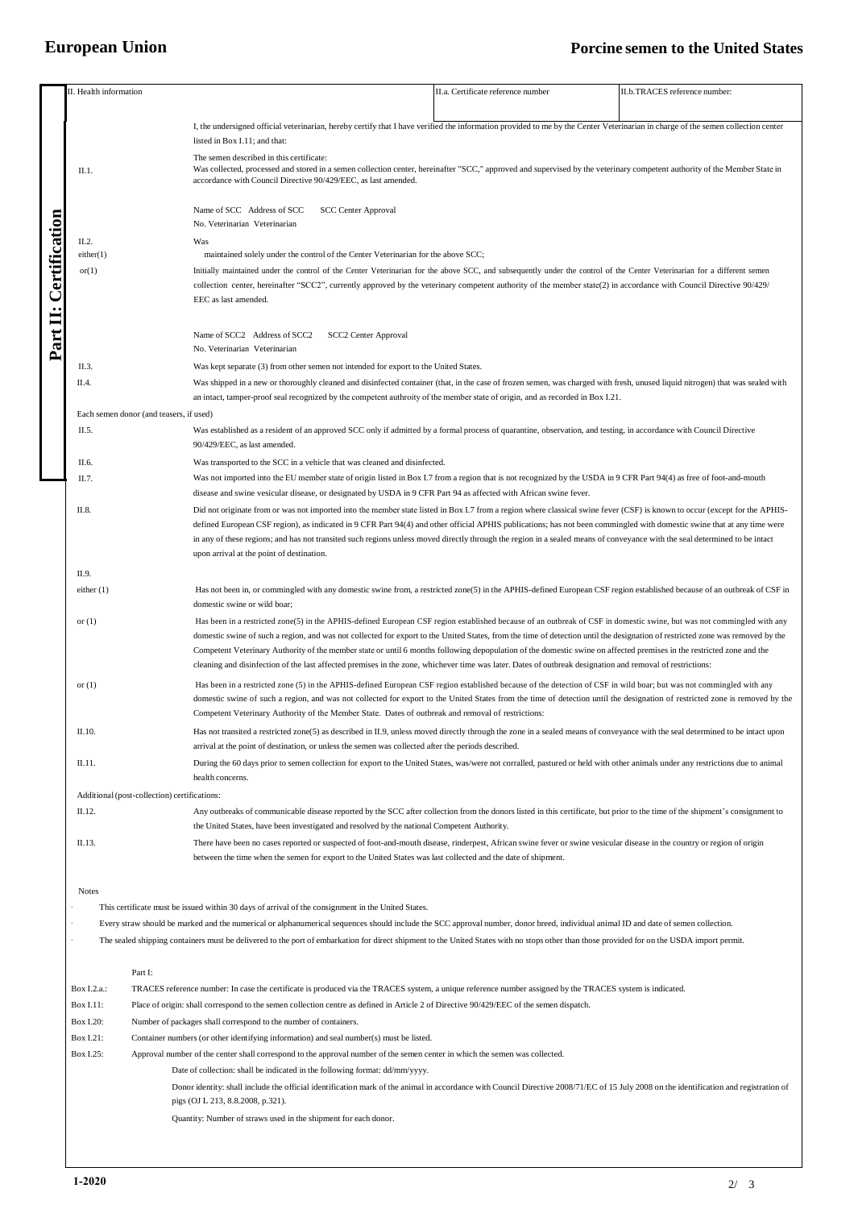## **European Union Porcine semen to the United States**

|                                    | I. Health information                                                       |                                                                                                                                                                                                                                                                                                                                                        | II.a. Certificate reference number                                                                                                                                                     | II.b.TRACES reference number: |  |  |  |  |
|------------------------------------|-----------------------------------------------------------------------------|--------------------------------------------------------------------------------------------------------------------------------------------------------------------------------------------------------------------------------------------------------------------------------------------------------------------------------------------------------|----------------------------------------------------------------------------------------------------------------------------------------------------------------------------------------|-------------------------------|--|--|--|--|
|                                    |                                                                             |                                                                                                                                                                                                                                                                                                                                                        |                                                                                                                                                                                        |                               |  |  |  |  |
|                                    |                                                                             | I, the undersigned official veterinarian, hereby certify that I have verified the information provided to me by the Center Veterinarian in charge of the semen collection center                                                                                                                                                                       |                                                                                                                                                                                        |                               |  |  |  |  |
|                                    |                                                                             | listed in Box I.11; and that:                                                                                                                                                                                                                                                                                                                          |                                                                                                                                                                                        |                               |  |  |  |  |
|                                    |                                                                             | The semen described in this certificate:                                                                                                                                                                                                                                                                                                               |                                                                                                                                                                                        |                               |  |  |  |  |
|                                    | II.1.                                                                       | Was collected, processed and stored in a semen collection center, hereinafter "SCC," approved and supervised by the veterinary competent authority of the Member State in<br>accordance with Council Directive 90/429/EEC, as last amended.                                                                                                            |                                                                                                                                                                                        |                               |  |  |  |  |
|                                    |                                                                             |                                                                                                                                                                                                                                                                                                                                                        |                                                                                                                                                                                        |                               |  |  |  |  |
|                                    |                                                                             | Name of SCC Address of SCC<br><b>SCC Center Approval</b>                                                                                                                                                                                                                                                                                               |                                                                                                                                                                                        |                               |  |  |  |  |
|                                    |                                                                             | No. Veterinarian Veterinarian                                                                                                                                                                                                                                                                                                                          |                                                                                                                                                                                        |                               |  |  |  |  |
|                                    | II.2.                                                                       | Was                                                                                                                                                                                                                                                                                                                                                    |                                                                                                                                                                                        |                               |  |  |  |  |
| <b><i><u>Certification</u></i></b> | either(1)                                                                   | maintained solely under the control of the Center Veterinarian for the above SCC;<br>Initially maintained under the control of the Center Veterinarian for the above SCC, and subsequently under the control of the Center Veterinarian for a different semen                                                                                          |                                                                                                                                                                                        |                               |  |  |  |  |
|                                    | or(1)                                                                       |                                                                                                                                                                                                                                                                                                                                                        |                                                                                                                                                                                        |                               |  |  |  |  |
|                                    |                                                                             | collection center, hereinafter "SCC2", currently approved by the veterinary competent authority of the member state(2) in accordance with Council Directive 90/429/                                                                                                                                                                                    |                                                                                                                                                                                        |                               |  |  |  |  |
|                                    |                                                                             | EEC as last amended.                                                                                                                                                                                                                                                                                                                                   |                                                                                                                                                                                        |                               |  |  |  |  |
| Part II: C                         |                                                                             |                                                                                                                                                                                                                                                                                                                                                        |                                                                                                                                                                                        |                               |  |  |  |  |
|                                    |                                                                             | Name of SCC2 Address of SCC2<br><b>SCC2 Center Approval</b>                                                                                                                                                                                                                                                                                            |                                                                                                                                                                                        |                               |  |  |  |  |
|                                    |                                                                             | No. Veterinarian Veterinarian                                                                                                                                                                                                                                                                                                                          |                                                                                                                                                                                        |                               |  |  |  |  |
|                                    | II.3.                                                                       | Was kept separate (3) from other semen not intended for export to the United States.                                                                                                                                                                                                                                                                   |                                                                                                                                                                                        |                               |  |  |  |  |
|                                    | II.4.                                                                       | Was shipped in a new or thoroughly cleaned and disinfected container (that, in the case of frozen semen, was charged with fresh, unused liquid nitrogen) that was sealed with                                                                                                                                                                          |                                                                                                                                                                                        |                               |  |  |  |  |
|                                    |                                                                             | an intact, tamper-proof seal recognized by the competent authroity of the member state of origin, and as recorded in Box I.21.                                                                                                                                                                                                                         |                                                                                                                                                                                        |                               |  |  |  |  |
|                                    | Each semen donor (and teasers, if used)                                     |                                                                                                                                                                                                                                                                                                                                                        |                                                                                                                                                                                        |                               |  |  |  |  |
|                                    | II.5.                                                                       |                                                                                                                                                                                                                                                                                                                                                        |                                                                                                                                                                                        |                               |  |  |  |  |
|                                    |                                                                             | Was established as a resident of an approved SCC only if admitted by a formal process of quarantine, observation, and testing, in accordance with Council Directive<br>90/429/EEC, as last amended.                                                                                                                                                    |                                                                                                                                                                                        |                               |  |  |  |  |
|                                    |                                                                             |                                                                                                                                                                                                                                                                                                                                                        |                                                                                                                                                                                        |                               |  |  |  |  |
|                                    | II.6.                                                                       | Was transported to the SCC in a vehicle that was cleaned and disinfected.                                                                                                                                                                                                                                                                              |                                                                                                                                                                                        |                               |  |  |  |  |
|                                    | II.7.                                                                       | Was not imported into the EU member state of origin listed in Box I.7 from a region that is not recognized by the USDA in 9 CFR Part 94(4) as free of foot-and-mouth<br>disease and swine vesicular disease, or designated by USDA in 9 CFR Part 94 as affected with African swine fever.                                                              |                                                                                                                                                                                        |                               |  |  |  |  |
|                                    | II.8.                                                                       |                                                                                                                                                                                                                                                                                                                                                        |                                                                                                                                                                                        |                               |  |  |  |  |
|                                    |                                                                             | Did not originate from or was not imported into the member state listed in Box I.7 from a region where classical swine fever (CSF) is known to occur (except for the APHIS-<br>defined European CSF region), as indicated in 9 CFR Part 94(4) and other official APHIS publications; has not been commingled with domestic swine that at any time were |                                                                                                                                                                                        |                               |  |  |  |  |
|                                    |                                                                             | in any of these regions; and has not transited such regions unless moved directly through the region in a sealed means of conveyance with the seal determined to be intact                                                                                                                                                                             |                                                                                                                                                                                        |                               |  |  |  |  |
|                                    |                                                                             | upon arrival at the point of destination.                                                                                                                                                                                                                                                                                                              |                                                                                                                                                                                        |                               |  |  |  |  |
|                                    | II.9.                                                                       |                                                                                                                                                                                                                                                                                                                                                        |                                                                                                                                                                                        |                               |  |  |  |  |
|                                    | either $(1)$                                                                | Has not been in, or commingled with any domestic swine from, a restricted zone(5) in the APHIS-defined European CSF region established because of an outbreak of CSF in                                                                                                                                                                                |                                                                                                                                                                                        |                               |  |  |  |  |
|                                    |                                                                             | domestic swine or wild boar;                                                                                                                                                                                                                                                                                                                           |                                                                                                                                                                                        |                               |  |  |  |  |
|                                    | or $(1)$                                                                    | Has been in a restricted zone(5) in the APHIS-defined European CSF region established because of an outbreak of CSF in domestic swine, but was not commingled with any                                                                                                                                                                                 |                                                                                                                                                                                        |                               |  |  |  |  |
|                                    |                                                                             | domestic swine of such a region, and was not collected for export to the United States, from the time of detection until the designation of restricted zone was removed by the                                                                                                                                                                         |                                                                                                                                                                                        |                               |  |  |  |  |
|                                    |                                                                             | Competent Veterinary Authority of the member state or until 6 months following depopulation of the domestic swine on affected premises in the restricted zone and the                                                                                                                                                                                  |                                                                                                                                                                                        |                               |  |  |  |  |
|                                    |                                                                             | cleaning and disinfection of the last affected premises in the zone, whichever time was later. Dates of outbreak designation and removal of restrictions:                                                                                                                                                                                              |                                                                                                                                                                                        |                               |  |  |  |  |
|                                    | or $(1)$                                                                    | Has been in a restricted zone (5) in the APHIS-defined European CSF region established because of the detection of CSF in wild boar; but was not commingled with any                                                                                                                                                                                   |                                                                                                                                                                                        |                               |  |  |  |  |
|                                    |                                                                             | domestic swine of such a region, and was not collected for export to the United States from the time of detection until the designation of restricted zone is removed by the                                                                                                                                                                           |                                                                                                                                                                                        |                               |  |  |  |  |
|                                    |                                                                             | Competent Veterinary Authority of the Member State. Dates of outbreak and removal of restrictions:                                                                                                                                                                                                                                                     |                                                                                                                                                                                        |                               |  |  |  |  |
|                                    | II.10.                                                                      | Has not transited a restricted zone(5) as described in II.9, unless moved directly through the zone in a sealed means of conveyance with the seal determined to be intact upon                                                                                                                                                                         |                                                                                                                                                                                        |                               |  |  |  |  |
|                                    |                                                                             | arrival at the point of destination, or unless the semen was collected after the periods described.                                                                                                                                                                                                                                                    |                                                                                                                                                                                        |                               |  |  |  |  |
|                                    | II.11.                                                                      | During the 60 days prior to semen collection for export to the United States, was/were not corralled, pastured or held with other animals under any restrictions due to animal                                                                                                                                                                         |                                                                                                                                                                                        |                               |  |  |  |  |
|                                    |                                                                             | health concerns.                                                                                                                                                                                                                                                                                                                                       |                                                                                                                                                                                        |                               |  |  |  |  |
|                                    | Additional (post-collection) certifications:                                |                                                                                                                                                                                                                                                                                                                                                        |                                                                                                                                                                                        |                               |  |  |  |  |
|                                    | II.12.                                                                      | Any outbreaks of communicable disease reported by the SCC after collection from the donors listed in this certificate, but prior to the time of the shipment's consignment to                                                                                                                                                                          |                                                                                                                                                                                        |                               |  |  |  |  |
|                                    |                                                                             | the United States, have been investigated and resolved by the national Competent Authority.                                                                                                                                                                                                                                                            |                                                                                                                                                                                        |                               |  |  |  |  |
|                                    | II.13.                                                                      | There have been no cases reported or suspected of foot-and-mouth disease, rinderpest, African swine fever or swine vesicular disease in the country or region of origin                                                                                                                                                                                |                                                                                                                                                                                        |                               |  |  |  |  |
|                                    |                                                                             | between the time when the semen for export to the United States was last collected and the date of shipment.                                                                                                                                                                                                                                           |                                                                                                                                                                                        |                               |  |  |  |  |
|                                    |                                                                             |                                                                                                                                                                                                                                                                                                                                                        |                                                                                                                                                                                        |                               |  |  |  |  |
|                                    | <b>Notes</b>                                                                |                                                                                                                                                                                                                                                                                                                                                        |                                                                                                                                                                                        |                               |  |  |  |  |
|                                    |                                                                             | This certificate must be issued within 30 days of arrival of the consignment in the United States.                                                                                                                                                                                                                                                     |                                                                                                                                                                                        |                               |  |  |  |  |
|                                    |                                                                             | Every straw should be marked and the numerical or alphanumerical sequences should include the SCC approval number, donor breed, individual animal ID and date of semen collection.                                                                                                                                                                     |                                                                                                                                                                                        |                               |  |  |  |  |
|                                    |                                                                             | The sealed shipping containers must be delivered to the port of embarkation for direct shipment to the United States with no stops other than those provided for on the USDA import permit.                                                                                                                                                            |                                                                                                                                                                                        |                               |  |  |  |  |
|                                    |                                                                             |                                                                                                                                                                                                                                                                                                                                                        |                                                                                                                                                                                        |                               |  |  |  |  |
|                                    | Part I:                                                                     |                                                                                                                                                                                                                                                                                                                                                        |                                                                                                                                                                                        |                               |  |  |  |  |
|                                    | Box I.2.a.:                                                                 | TRACES reference number: In case the certificate is produced via the TRACES system, a unique reference number assigned by the TRACES system is indicated.                                                                                                                                                                                              |                                                                                                                                                                                        |                               |  |  |  |  |
|                                    | Box I.11:                                                                   | Place of origin: shall correspond to the semen collection centre as defined in Article 2 of Directive 90/429/EEC of the semen dispatch.                                                                                                                                                                                                                |                                                                                                                                                                                        |                               |  |  |  |  |
|                                    | <b>Box I.20:</b>                                                            | Number of packages shall correspond to the number of containers.                                                                                                                                                                                                                                                                                       |                                                                                                                                                                                        |                               |  |  |  |  |
|                                    | Box I.21:                                                                   | Container numbers (or other identifying information) and seal number(s) must be listed.                                                                                                                                                                                                                                                                |                                                                                                                                                                                        |                               |  |  |  |  |
|                                    | Box I.25:                                                                   | Approval number of the center shall correspond to the approval number of the semen center in which the semen was collected.                                                                                                                                                                                                                            |                                                                                                                                                                                        |                               |  |  |  |  |
|                                    | Date of collection: shall be indicated in the following format: dd/mm/yyyy. |                                                                                                                                                                                                                                                                                                                                                        |                                                                                                                                                                                        |                               |  |  |  |  |
|                                    |                                                                             | pigs (OJ L 213, 8.8.2008, p.321).                                                                                                                                                                                                                                                                                                                      | Donor identity: shall include the official identification mark of the animal in accordance with Council Directive 2008/71/EC of 15 July 2008 on the identification and registration of |                               |  |  |  |  |
|                                    |                                                                             |                                                                                                                                                                                                                                                                                                                                                        |                                                                                                                                                                                        |                               |  |  |  |  |
|                                    |                                                                             | Quantity: Number of straws used in the shipment for each donor.                                                                                                                                                                                                                                                                                        |                                                                                                                                                                                        |                               |  |  |  |  |
|                                    |                                                                             |                                                                                                                                                                                                                                                                                                                                                        |                                                                                                                                                                                        |                               |  |  |  |  |
|                                    |                                                                             |                                                                                                                                                                                                                                                                                                                                                        |                                                                                                                                                                                        |                               |  |  |  |  |